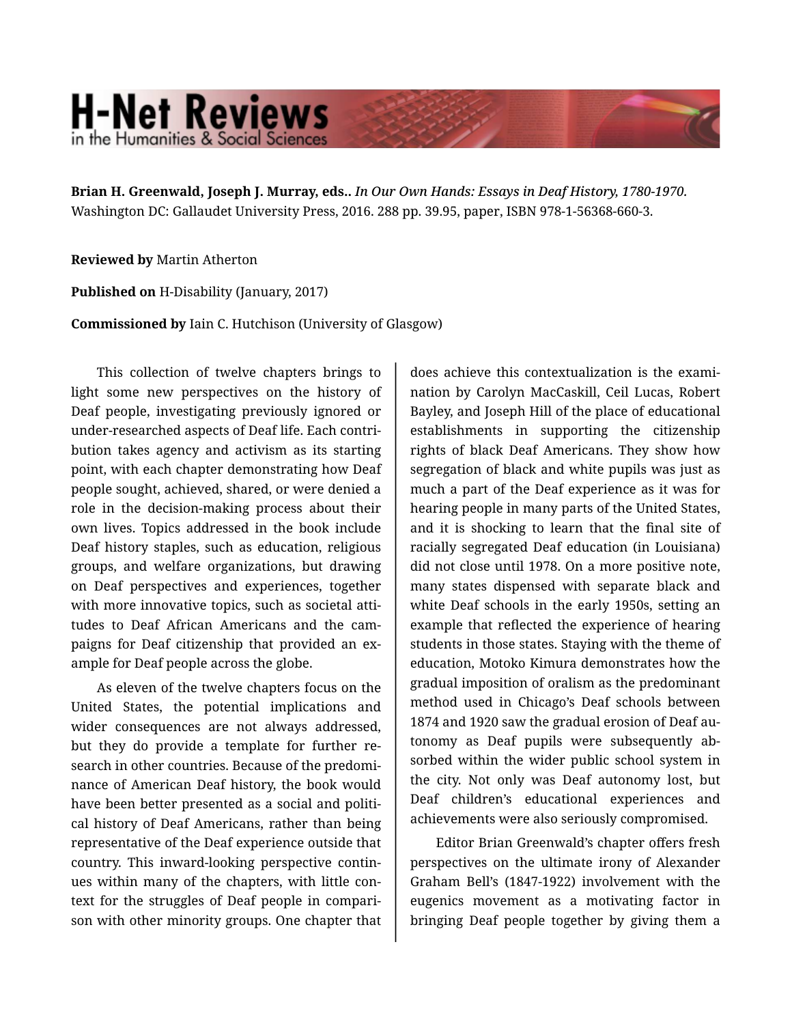## **H-Net Reviews** in the Humanities & Social Scienc

**Brian H. Greenwald, Joseph J. Murray, eds..** *In Our Own Hands: Essays in Deaf History, 1780-1970.*  Washington DC: Gallaudet University Press, 2016. 288 pp. 39.95, paper, ISBN 978-1-56368-660-3.

## **Reviewed by** Martin Atherton

**Published on** H-Disability (January, 2017)

**Commissioned by** Iain C. Hutchison (University of Glasgow)

This collection of twelve chapters brings to light some new perspectives on the history of Deaf people, investigating previously ignored or under-researched aspects of Deaf life. Each contri‐ bution takes agency and activism as its starting point, with each chapter demonstrating how Deaf people sought, achieved, shared, or were denied a role in the decision-making process about their own lives. Topics addressed in the book include Deaf history staples, such as education, religious groups, and welfare organizations, but drawing on Deaf perspectives and experiences, together with more innovative topics, such as societal attitudes to Deaf African Americans and the cam‐ paigns for Deaf citizenship that provided an ex‐ ample for Deaf people across the globe.

As eleven of the twelve chapters focus on the United States, the potential implications and wider consequences are not always addressed, but they do provide a template for further re‐ search in other countries. Because of the predomi‐ nance of American Deaf history, the book would have been better presented as a social and political history of Deaf Americans, rather than being representative of the Deaf experience outside that country. This inward-looking perspective contin‐ ues within many of the chapters, with little con‐ text for the struggles of Deaf people in compari‐ son with other minority groups. One chapter that

does achieve this contextualization is the exami‐ nation by Carolyn MacCaskill, Ceil Lucas, Robert Bayley, and Joseph Hill of the place of educational establishments in supporting the citizenship rights of black Deaf Americans. They show how segregation of black and white pupils was just as much a part of the Deaf experience as it was for hearing people in many parts of the United States, and it is shocking to learn that the final site of racially segregated Deaf education (in Louisiana) did not close until 1978. On a more positive note, many states dispensed with separate black and white Deaf schools in the early 1950s, setting an example that reflected the experience of hearing students in those states. Staying with the theme of education, Motoko Kimura demonstrates how the gradual imposition of oralism as the predominant method used in Chicago's Deaf schools between 1874 and 1920 saw the gradual erosion of Deaf au‐ tonomy as Deaf pupils were subsequently ab‐ sorbed within the wider public school system in the city. Not only was Deaf autonomy lost, but Deaf children's educational experiences and achievements were also seriously compromised.

Editor Brian Greenwald's chapter offers fresh perspectives on the ultimate irony of Alexander Graham Bell's (1847-1922) involvement with the eugenics movement as a motivating factor in bringing Deaf people together by giving them a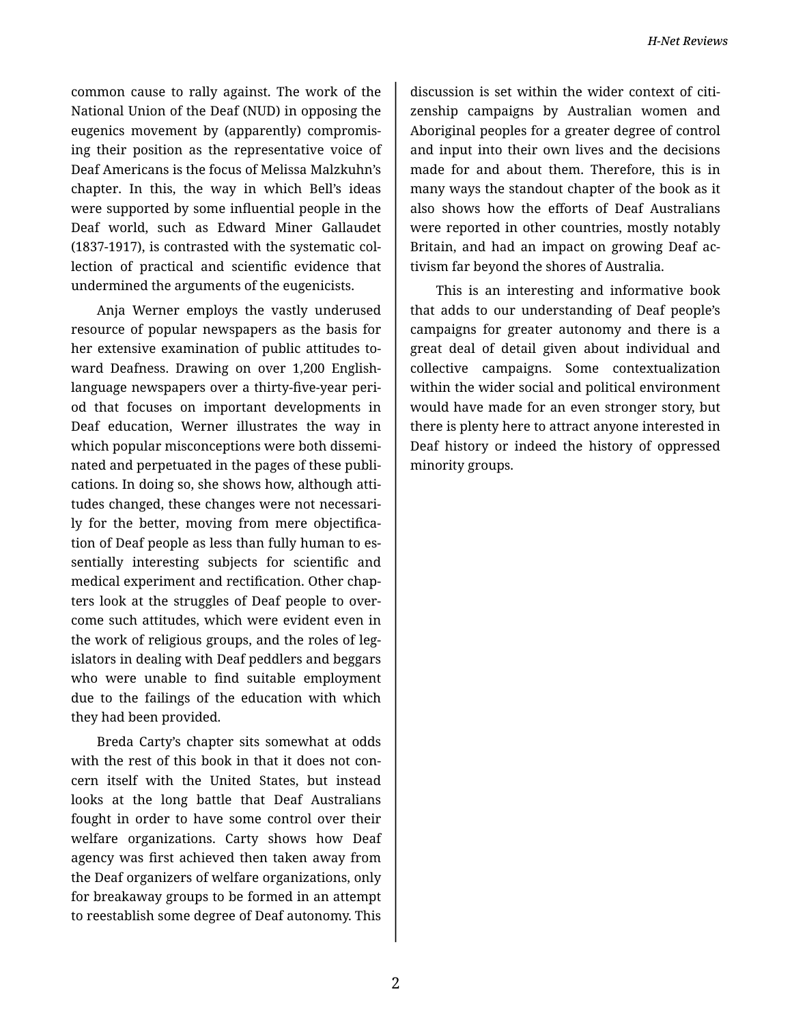common cause to rally against. The work of the National Union of the Deaf (NUD) in opposing the eugenics movement by (apparently) compromis‐ ing their position as the representative voice of Deaf Americans is the focus of Melissa Malzkuhn's chapter. In this, the way in which Bell's ideas were supported by some influential people in the Deaf world, such as Edward Miner Gallaudet (1837-1917), is contrasted with the systematic col‐ lection of practical and scientific evidence that undermined the arguments of the eugenicists.

Anja Werner employs the vastly underused resource of popular newspapers as the basis for her extensive examination of public attitudes toward Deafness. Drawing on over 1,200 Englishlanguage newspapers over a thirty-five-year peri‐ od that focuses on important developments in Deaf education, Werner illustrates the way in which popular misconceptions were both dissemi‐ nated and perpetuated in the pages of these publi‐ cations. In doing so, she shows how, although atti‐ tudes changed, these changes were not necessari‐ ly for the better, moving from mere objectification of Deaf people as less than fully human to es‐ sentially interesting subjects for scientific and medical experiment and rectification. Other chap‐ ters look at the struggles of Deaf people to over‐ come such attitudes, which were evident even in the work of religious groups, and the roles of leg‐ islators in dealing with Deaf peddlers and beggars who were unable to find suitable employment due to the failings of the education with which they had been provided.

Breda Carty's chapter sits somewhat at odds with the rest of this book in that it does not concern itself with the United States, but instead looks at the long battle that Deaf Australians fought in order to have some control over their welfare organizations. Carty shows how Deaf agency was first achieved then taken away from the Deaf organizers of welfare organizations, only for breakaway groups to be formed in an attempt to reestablish some degree of Deaf autonomy. This

discussion is set within the wider context of citi‐ zenship campaigns by Australian women and Aboriginal peoples for a greater degree of control and input into their own lives and the decisions made for and about them. Therefore, this is in many ways the standout chapter of the book as it also shows how the efforts of Deaf Australians were reported in other countries, mostly notably Britain, and had an impact on growing Deaf ac‐ tivism far beyond the shores of Australia.

This is an interesting and informative book that adds to our understanding of Deaf people's campaigns for greater autonomy and there is a great deal of detail given about individual and collective campaigns. Some contextualization within the wider social and political environment would have made for an even stronger story, but there is plenty here to attract anyone interested in Deaf history or indeed the history of oppressed minority groups.